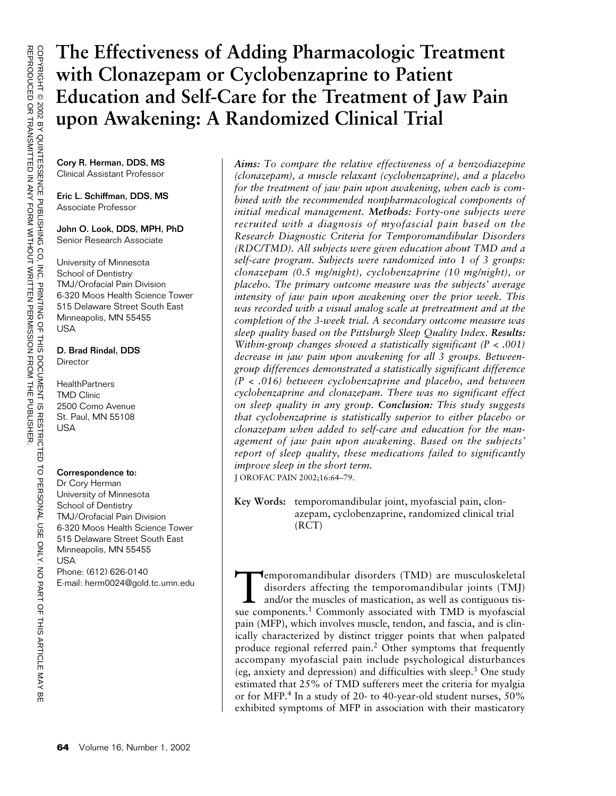# **The Effectiveness of Adding Pharmacologic Treatment with Clonazepam or Cyclobenzaprine to Patient Education and Self-Care for the Treatment of Jaw Pain upon Awakening: A Randomized Clinical Trial**

Cory R. Herman, DDS, MS Clinical Assistant Professor

Eric L. Schiffman, DDS, MS Associate Professor

John O. Look, DDS, MPH, PhD Senior Research Associate

University of Minnesota School of Dentistrv TMJ/Orofacial Pain Division 6-320 Moos Health Science Tower 515 Delaware Street South East Minneapolis, MN 55455 USA

#### D. Brad Rindal, DDS **Director**

**HealthPartners** TMD Clinic 2500 Como Avenue St. Paul, MN 55108 USA

#### Correspondence to:

Dr Cory Herman University of Minnesota School of Dentistry TMJ/Orofacial Pain Division 6-320 Moos Health Science Tower 515 Delaware Street South East Minneapolis, MN 55455 USA Phone: (612) 626-0140 E-mail: herm0024@gold.tc.umn.edu *Aims: To compare the relative effectiveness of a benzodiazepine (clonazepam), a muscle relaxant (cyclobenzaprine), and a placebo for the treatment of jaw pain upon awakening, when each is combined with the recommended nonpharmacological components of initial medical management. Methods: Forty-one subjects were recruited with a diagnosis of myofascial pain based on the Research Diagnostic Criteria for Temporomandibular Disorders (RDC/TMD). All subjects were given education about TMD and a self-care program. Subjects were randomized into 1 of 3 groups: clonazepam (0.5 mg/night), cyclobenzaprine (10 mg/night), or placebo. The primary outcome measure was the subjects' average intensity of jaw pain upon awakening over the prior week. This was recorded with a visual analog scale at pretreatment and at the completion of the 3-week trial. A secondary outcome measure was sleep quality based on the Pittsburgh Sleep Quality Index. Results: Within-group changes showed a statistically significant (P < .001) decrease in jaw pain upon awakening for all 3 groups. Betweengroup differences demonstrated a statistically significant difference (P < .016) between cyclobenzaprine and placebo, and between cyclobenzaprine and clonazepam. There was no significant effect on sleep quality in any group. Conclusion: This study suggests that cyclobenzaprine is statistically superior to either placebo or clonazepam when added to self-care and education for the management of jaw pain upon awakening. Based on the subjects' report of sleep quality, these medications failed to significantly improve sleep in the short term.* J OROFAC PAIN 2002;16:64–79.

**Key Words:** temporomandibular joint, myofascial pain, clonazepam, cyclobenzaprine, randomized clinical trial (RCT)

Temporomandibular disorders (TMD) are musculoskeletal disorders affecting the temporomandibular joints (TMJ) and/or the muscles of mastication, as well as contiguous tissue components.<sup>1</sup> Commonly associated with TMD is myofascial pain (MFP), which involves muscle, tendon, and fascia, and is clinically characterized by distinct trigger points that when palpated produce regional referred pain.2 Other symptoms that frequently accompany myofascial pain include psychological disturbances (eg, anxiety and depression) and difficulties with sleep.3 One study estimated that 25% of TMD sufferers meet the criteria for myalgia or for MFP.4 In a study of 20- to 40-year-old student nurses, 50% exhibited symptoms of MFP in association with their masticatory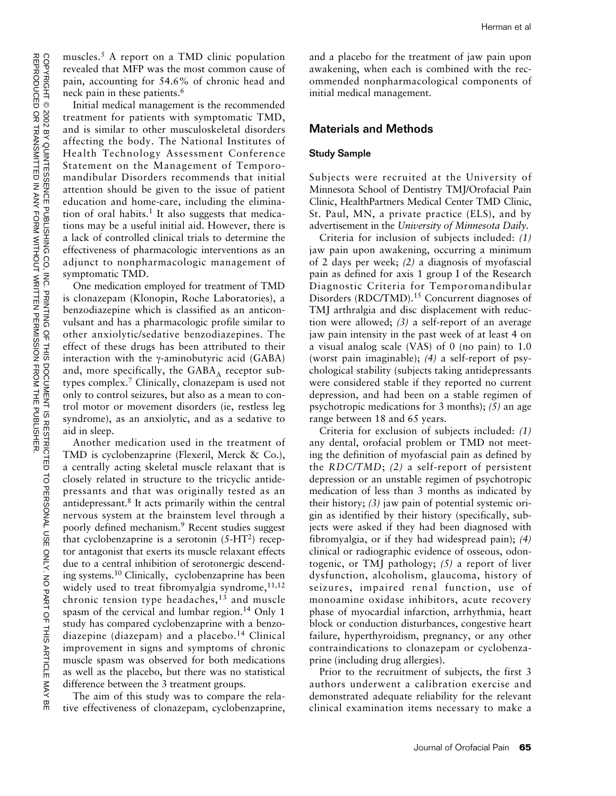muscles.<sup>5</sup> A report on a TMD clinic population revealed that MFP was the most common cause of pain, accounting for 54.6% of chronic head and neck pain in these patients.<sup>6</sup>

Initial medical management is the recommended treatment for patients with symptomatic TMD, and is similar to other musculoskeletal disorders affecting the body. The National Institutes of Health Technology Assessment Conference Statement on the Management of Temporomandibular Disorders recommends that initial attention should be given to the issue of patient education and home-care, including the elimination of oral habits.<sup>1</sup> It also suggests that medications may be a useful initial aid. However, there is a lack of controlled clinical trials to determine the effectiveness of pharmacologic interventions as an adjunct to nonpharmacologic management of symptomatic TMD.

One medication employed for treatment of TMD is clonazepam (Klonopin, Roche Laboratories), a benzodiazepine which is classified as an anticonvulsant and has a pharmacologic profile similar to other anxiolytic/sedative benzodiazepines. The effect of these drugs has been attributed to their interaction with the γ-aminobutyric acid (GABA) and, more specifically, the  $GABA<sub>A</sub>$  receptor subtypes complex.7 Clinically, clonazepam is used not only to control seizures, but also as a mean to control motor or movement disorders (ie, restless leg syndrome), as an anxiolytic, and as a sedative to aid in sleep.

Another medication used in the treatment of TMD is cyclobenzaprine (Flexeril, Merck & Co.), a centrally acting skeletal muscle relaxant that is closely related in structure to the tricyclic antidepressants and that was originally tested as an antidepressant.8 It acts primarily within the central nervous system at the brainstem level through a poorly defined mechanism.9 Recent studies suggest that cyclobenzaprine is a serotonin  $(5-HT<sup>2</sup>)$  receptor antagonist that exerts its muscle relaxant effects due to a central inhibition of serotonergic descending systems.10 Clinically, cyclobenzaprine has been widely used to treat fibromyalgia syndrome, $11,12$ chronic tension type headaches, $13$  and muscle spasm of the cervical and lumbar region.<sup>14</sup> Only 1 study has compared cyclobenzaprine with a benzodiazepine (diazepam) and a placebo.<sup>14</sup> Clinical improvement in signs and symptoms of chronic muscle spasm was observed for both medications as well as the placebo, but there was no statistical difference between the 3 treatment groups.

The aim of this study was to compare the relative effectiveness of clonazepam, cyclobenzaprine, and a placebo for the treatment of jaw pain upon awakening, when each is combined with the recommended nonpharmacological components of initial medical management.

#### Materials and Methods

#### Study Sample

Subjects were recruited at the University of Minnesota School of Dentistry TMJ/Orofacial Pain Clinic, HealthPartners Medical Center TMD Clinic, St. Paul, MN, a private practice (ELS), and by advertisement in the *University of Minnesota Daily.*

Criteria for inclusion of subjects included: *(1)* jaw pain upon awakening, occurring a minimum of 2 days per week; *(2)* a diagnosis of myofascial pain as defined for axis 1 group I of the Research Diagnostic Criteria for Temporomandibular Disorders (RDC/TMD).<sup>15</sup> Concurrent diagnoses of TMJ arthralgia and disc displacement with reduction were allowed; *(3)* a self-report of an average jaw pain intensity in the past week of at least 4 on a visual analog scale (VAS) of 0 (no pain) to 1.0 (worst pain imaginable); *(4)* a self-report of psychological stability (subjects taking antidepressants were considered stable if they reported no current depression, and had been on a stable regimen of psychotropic medications for 3 months); *(5)* an age range between 18 and 65 years.

Criteria for exclusion of subjects included: *(1)* any dental, orofacial problem or TMD not meeting the definition of myofascial pain as defined by the *RDC/TMD*; *(2)* a self-report of persistent depression or an unstable regimen of psychotropic medication of less than 3 months as indicated by their history; *(3)* jaw pain of potential systemic origin as identified by their history (specifically, subjects were asked if they had been diagnosed with fibromyalgia, or if they had widespread pain); *(4)* clinical or radiographic evidence of osseous, odontogenic, or TMJ pathology; *(5)* a report of liver dysfunction, alcoholism, glaucoma, history of seizures, impaired renal function, use of monoamine oxidase inhibitors, acute recovery phase of myocardial infarction, arrhythmia, heart block or conduction disturbances, congestive heart failure, hyperthyroidism, pregnancy, or any other contraindications to clonazepam or cyclobenzaprine (including drug allergies).

Prior to the recruitment of subjects, the first 3 authors underwent a calibration exercise and demonstrated adequate reliability for the relevant clinical examination items necessary to make a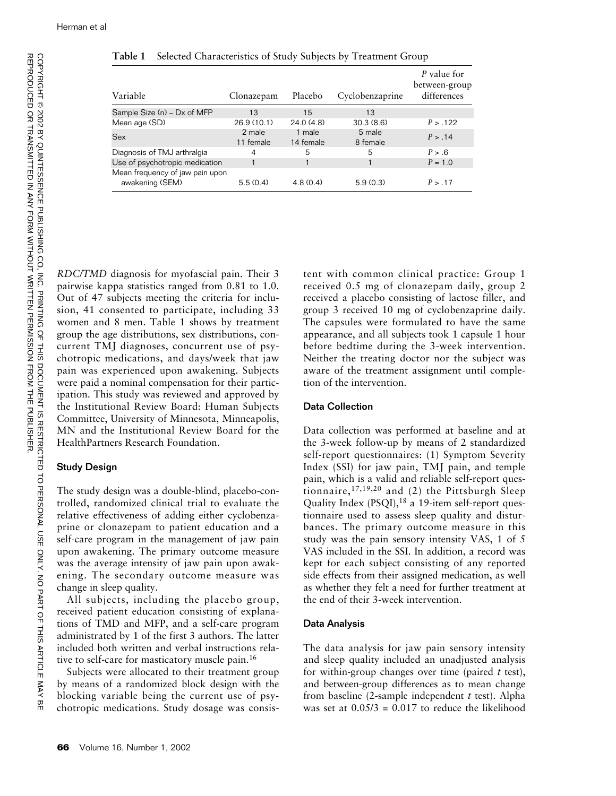| Variable                                           | Clonazepam          | Placebo             | Cyclobenzaprine    | P value for<br>between-group<br>differences |
|----------------------------------------------------|---------------------|---------------------|--------------------|---------------------------------------------|
| Sample Size (n) - Dx of MFP                        | 13                  | 15                  | 13                 |                                             |
| Mean age (SD)                                      | 26.9 (10.1)         | 24.0(4.8)           | 30.3(8.6)          | P > .122                                    |
| <b>Sex</b>                                         | 2 male<br>11 female | 1 male<br>14 female | 5 male<br>8 female | P > .14                                     |
| Diagnosis of TMJ arthralgia                        | 4                   | 5                   | 5                  | P > .6                                      |
| Use of psychotropic medication                     |                     |                     |                    | $P = 1.0$                                   |
| Mean frequency of jaw pain upon<br>awakening (SEM) | 5.5(0.4)            | 4.8(0.4)            | 5.9(0.3)           | P > .17                                     |

**Table 1** Selected Characteristics of Study Subjects by Treatment Group

유

*RDC/TMD* diagnosis for myofascial pain. Their 3 pairwise kappa statistics ranged from 0.81 to 1.0. Out of 47 subjects meeting the criteria for inclusion, 41 consented to participate, including 33 women and 8 men. Table 1 shows by treatment group the age distributions, sex distributions, concurrent TMJ diagnoses, concurrent use of psychotropic medications, and days/week that jaw pain was experienced upon awakening. Subjects were paid a nominal compensation for their participation. This study was reviewed and approved by the Institutional Review Board: Human Subjects Committee, University of Minnesota, Minneapolis, MN and the Institutional Review Board for the HealthPartners Research Foundation.

# Study Design

The study design was a double-blind, placebo-controlled, randomized clinical trial to evaluate the relative effectiveness of adding either cyclobenzaprine or clonazepam to patient education and a self-care program in the management of jaw pain upon awakening. The primary outcome measure was the average intensity of jaw pain upon awakening. The secondary outcome measure was change in sleep quality.

All subjects, including the placebo group, received patient education consisting of explanations of TMD and MFP, and a self-care program administrated by 1 of the first 3 authors. The latter included both written and verbal instructions relative to self-care for masticatory muscle pain.16

Subjects were allocated to their treatment group by means of a randomized block design with the blocking variable being the current use of psychotropic medications. Study dosage was consistent with common clinical practice: Group 1 received 0.5 mg of clonazepam daily, group 2 received a placebo consisting of lactose filler, and group 3 received 10 mg of cyclobenzaprine daily. The capsules were formulated to have the same appearance, and all subjects took 1 capsule 1 hour before bedtime during the 3-week intervention. Neither the treating doctor nor the subject was aware of the treatment assignment until completion of the intervention.

# Data Collection

Data collection was performed at baseline and at the 3-week follow-up by means of 2 standardized self-report questionnaires: (1) Symptom Severity Index (SSI) for jaw pain, TMJ pain, and temple pain, which is a valid and reliable self-report questionnaire,17,19,20 and (2) the Pittsburgh Sleep Quality Index (PSQI),<sup>18</sup> a 19-item self-report questionnaire used to assess sleep quality and disturbances. The primary outcome measure in this study was the pain sensory intensity VAS, 1 of 5 VAS included in the SSI. In addition, a record was kept for each subject consisting of any reported side effects from their assigned medication, as well as whether they felt a need for further treatment at the end of their 3-week intervention.

# Data Analysis

The data analysis for jaw pain sensory intensity and sleep quality included an unadjusted analysis for within-group changes over time (paired *t* test), and between-group differences as to mean change from baseline (2-sample independent *t* test). Alpha was set at  $0.05/3 = 0.017$  to reduce the likelihood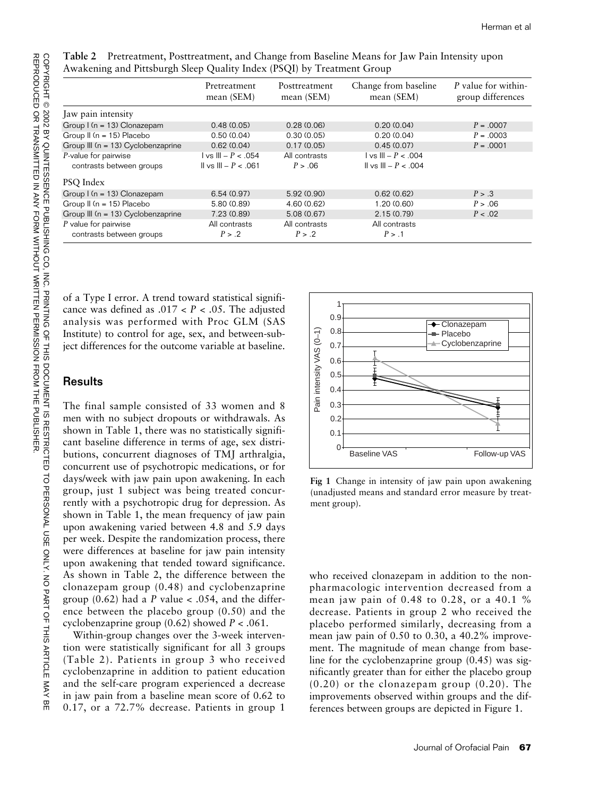|                                        | Pretreatment<br>mean (SEM)                            | Posttreatment<br>mean (SEM) | Change from baseline<br>mean (SEM) | P value for within-<br>group differences |
|----------------------------------------|-------------------------------------------------------|-----------------------------|------------------------------------|------------------------------------------|
| Jaw pain intensity                     |                                                       |                             |                                    |                                          |
| Group $I(n = 13)$ Clonazepam           | 0.48(0.05)                                            | 0.28(0.06)                  | 0.20(0.04)                         | $P = .0007$                              |
| Group $\parallel$ (n = 15) Placebo     | 0.50(0.04)                                            | 0.30(0.05)                  | 0.20(0.04)                         | $P = 0.0003$                             |
| Group III (n = 13) Cyclobenzaprine     | 0.62(0.04)                                            | 0.17(0.05)                  | 0.45(0.07)                         | $P = .0001$                              |
| P-value for pairwise                   | $\vert$ vs $\vert\vert\vert - P < .054$               | All contrasts               | $  \text{vs }      - P < .004$     |                                          |
| contrasts between groups               | $\vert \vert \vert$ vs $\vert \vert \vert - P < 0$ 61 | P > .06                     | $I_1 \vee S I_1 - P < 0.004$       |                                          |
| PSQ Index                              |                                                       |                             |                                    |                                          |
| Group $I(n = 13)$ Clonazepam           | 6.54(0.97)                                            | 5.92 (0.90)                 | 0.62(0.62)                         | P > .3                                   |
| Group $\parallel$ (n = 15) Placebo     | 5.80 (0.89)                                           | 4.60(0.62)                  | 1.20(0.60)                         | P > .06                                  |
| Group III ( $n = 13$ ) Cyclobenzaprine | 7.23 (0.89)                                           | 5.08 (0.67)                 | 2.15(0.79)                         | P < .02                                  |
| $P$ value for pairwise                 | All contrasts                                         | All contrasts               | All contrasts                      |                                          |
| contrasts between groups               | P > .2                                                | P > 0.2                     | P > 1                              |                                          |

**Table 2** Pretreatment, Posttreatment, and Change from Baseline Means for Jaw Pain Intensity upon Awakening and Pittsburgh Sleep Quality Index (PSQI) by Treatment Group

of a Type I error. A trend toward statistical significance was defined as .017 < *P* < .05. The adjusted analysis was performed with Proc GLM (SAS Institute) to control for age, sex, and between-subject differences for the outcome variable at baseline.

#### **Results**

The final sample consisted of 33 women and 8 men with no subject dropouts or withdrawals. As shown in Table 1, there was no statistically significant baseline difference in terms of age, sex distributions, concurrent diagnoses of TMJ arthralgia, concurrent use of psychotropic medications, or for days/week with jaw pain upon awakening. In each group, just 1 subject was being treated concurrently with a psychotropic drug for depression. As shown in Table 1, the mean frequency of jaw pain upon awakening varied between 4.8 and 5.9 days per week. Despite the randomization process, there were differences at baseline for jaw pain intensity upon awakening that tended toward significance. As shown in Table 2, the difference between the clonazepam group (0.48) and cyclobenzaprine group  $(0.62)$  had a *P* value < .054, and the difference between the placebo group (0.50) and the cyclobenzaprine group (0.62) showed *P* < .061.

Within-group changes over the 3-week intervention were statistically significant for all 3 groups (Table 2). Patients in group 3 who received cyclobenzaprine in addition to patient education and the self-care program experienced a decrease in jaw pain from a baseline mean score of 0.62 to 0.17, or a 72.7% decrease. Patients in group 1



**Fig 1** Change in intensity of jaw pain upon awakening (unadjusted means and standard error measure by treatment group).

who received clonazepam in addition to the nonpharmacologic intervention decreased from a mean jaw pain of 0.48 to 0.28, or a 40.1 % decrease. Patients in group 2 who received the placebo performed similarly, decreasing from a mean jaw pain of 0.50 to 0.30, a 40.2% improvement. The magnitude of mean change from baseline for the cyclobenzaprine group (0.45) was significantly greater than for either the placebo group  $(0.20)$  or the clonazepam group  $(0.20)$ . The improvements observed within groups and the differences between groups are depicted in Figure 1.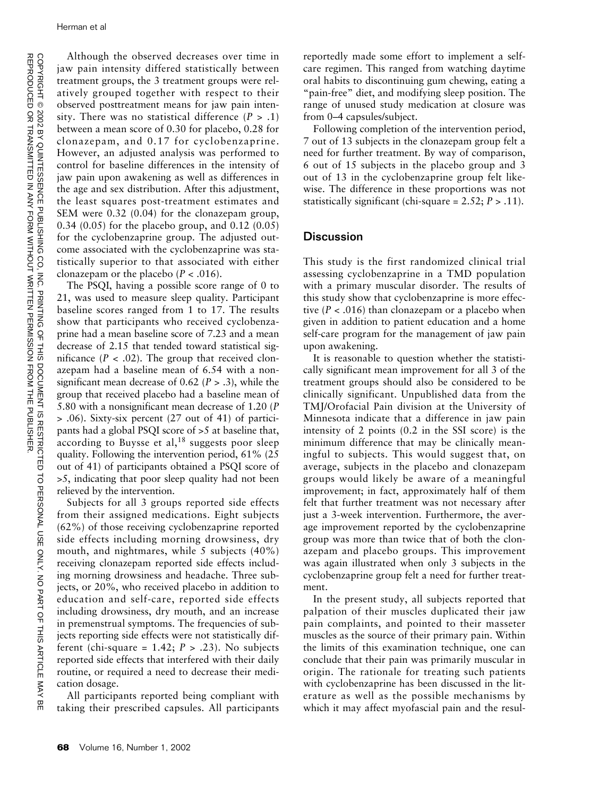Although the observed decreases over time in jaw pain intensity differed statistically between treatment groups, the 3 treatment groups were relatively grouped together with respect to their observed posttreatment means for jaw pain intensity. There was no statistical difference  $(P > .1)$ between a mean score of 0.30 for placebo, 0.28 for clonazepam, and 0.17 for cyclobenzaprine. However, an adjusted analysis was performed to control for baseline differences in the intensity of jaw pain upon awakening as well as differences in the age and sex distribution. After this adjustment, the least squares post-treatment estimates and SEM were 0.32 (0.04) for the clonazepam group, 0.34 (0.05) for the placebo group, and 0.12 (0.05) for the cyclobenzaprine group. The adjusted outcome associated with the cyclobenzaprine was statistically superior to that associated with either clonazepam or the placebo  $(P < .016)$ .

The PSQI, having a possible score range of 0 to 21, was used to measure sleep quality. Participant baseline scores ranged from 1 to 17. The results show that participants who received cyclobenzaprine had a mean baseline score of 7.23 and a mean decrease of 2.15 that tended toward statistical significance  $(P < .02)$ . The group that received clonazepam had a baseline mean of 6.54 with a nonsignificant mean decrease of 0.62 (*P* > .3), while the group that received placebo had a baseline mean of 5.80 with a nonsignificant mean decrease of 1.20 (*P* > .06). Sixty-six percent (27 out of 41) of participants had a global PSQI score of >5 at baseline that, according to Buysse et al, $18$  suggests poor sleep quality. Following the intervention period, 61% (25 out of 41) of participants obtained a PSQI score of >5, indicating that poor sleep quality had not been relieved by the intervention.

Subjects for all 3 groups reported side effects from their assigned medications. Eight subjects (62%) of those receiving cyclobenzaprine reported side effects including morning drowsiness, dry mouth, and nightmares, while 5 subjects (40%) receiving clonazepam reported side effects including morning drowsiness and headache. Three subjects, or 20%, who received placebo in addition to education and self-care, reported side effects including drowsiness, dry mouth, and an increase in premenstrual symptoms. The frequencies of subjects reporting side effects were not statistically different (chi-square =  $1.42$ ;  $P > .23$ ). No subjects reported side effects that interfered with their daily routine, or required a need to decrease their medication dosage.

All participants reported being compliant with taking their prescribed capsules. All participants

reportedly made some effort to implement a selfcare regimen. This ranged from watching daytime oral habits to discontinuing gum chewing, eating a "pain-free" diet, and modifying sleep position. The range of unused study medication at closure was from 0–4 capsules/subject.

Following completion of the intervention period, 7 out of 13 subjects in the clonazepam group felt a need for further treatment. By way of comparison, 6 out of 15 subjects in the placebo group and 3 out of 13 in the cyclobenzaprine group felt likewise. The difference in these proportions was not statistically significant (chi-square  $= 2.52$ ;  $P > .11$ ).

# **Discussion**

This study is the first randomized clinical trial assessing cyclobenzaprine in a TMD population with a primary muscular disorder. The results of this study show that cyclobenzaprine is more effective ( $P < .016$ ) than clonazepam or a placebo when given in addition to patient education and a home self-care program for the management of jaw pain upon awakening.

It is reasonable to question whether the statistically significant mean improvement for all 3 of the treatment groups should also be considered to be clinically significant. Unpublished data from the TMJ/Orofacial Pain division at the University of Minnesota indicate that a difference in jaw pain intensity of 2 points (0.2 in the SSI score) is the minimum difference that may be clinically meaningful to subjects. This would suggest that, on average, subjects in the placebo and clonazepam groups would likely be aware of a meaningful improvement; in fact, approximately half of them felt that further treatment was not necessary after just a 3-week intervention. Furthermore, the average improvement reported by the cyclobenzaprine group was more than twice that of both the clonazepam and placebo groups. This improvement was again illustrated when only 3 subjects in the cyclobenzaprine group felt a need for further treatment.

In the present study, all subjects reported that palpation of their muscles duplicated their jaw pain complaints, and pointed to their masseter muscles as the source of their primary pain. Within the limits of this examination technique, one can conclude that their pain was primarily muscular in origin. The rationale for treating such patients with cyclobenzaprine has been discussed in the literature as well as the possible mechanisms by which it may affect myofascial pain and the resul-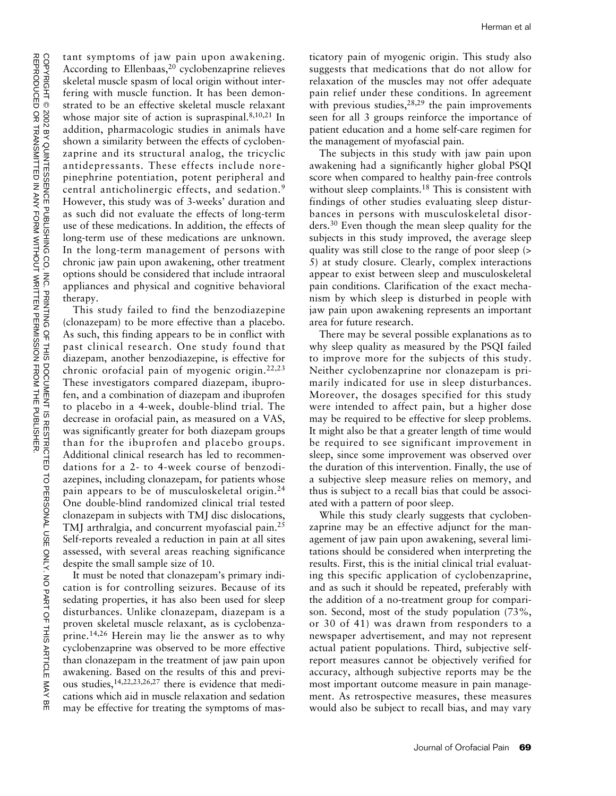tant symptoms of jaw pain upon awakening. According to Ellenbaas, $20$  cyclobenzaprine relieves skeletal muscle spasm of local origin without interfering with muscle function. It has been demonstrated to be an effective skeletal muscle relaxant whose major site of action is supraspinal.<sup>8,10,21</sup> In addition, pharmacologic studies in animals have shown a similarity between the effects of cyclobenzaprine and its structural analog, the tricyclic antidepressants. These effects include norepinephrine potentiation, potent peripheral and central anticholinergic effects, and sedation.<sup>9</sup> However, this study was of 3-weeks' duration and as such did not evaluate the effects of long-term use of these medications. In addition, the effects of long-term use of these medications are unknown. In the long-term management of persons with chronic jaw pain upon awakening, other treatment options should be considered that include intraoral appliances and physical and cognitive behavioral therapy.

This study failed to find the benzodiazepine (clonazepam) to be more effective than a placebo. As such, this finding appears to be in conflict with past clinical research. One study found that diazepam, another benzodiazepine, is effective for chronic orofacial pain of myogenic origin.22,23 These investigators compared diazepam, ibuprofen, and a combination of diazepam and ibuprofen to placebo in a 4-week, double-blind trial. The decrease in orofacial pain, as measured on a VAS, was significantly greater for both diazepam groups than for the ibuprofen and placebo groups. Additional clinical research has led to recommendations for a 2- to 4-week course of benzodiazepines, including clonazepam, for patients whose pain appears to be of musculoskeletal origin.<sup>24</sup> One double-blind randomized clinical trial tested clonazepam in subjects with TMJ disc dislocations, TMJ arthralgia, and concurrent myofascial pain.<sup>25</sup> Self-reports revealed a reduction in pain at all sites assessed, with several areas reaching significance despite the small sample size of 10.

It must be noted that clonazepam's primary indication is for controlling seizures. Because of its sedating properties, it has also been used for sleep disturbances. Unlike clonazepam, diazepam is a proven skeletal muscle relaxant, as is cyclobenzaprine.14,26 Herein may lie the answer as to why cyclobenzaprine was observed to be more effective than clonazepam in the treatment of jaw pain upon awakening. Based on the results of this and previous studies,14,22,23,26,27 there is evidence that medications which aid in muscle relaxation and sedation may be effective for treating the symptoms of mas-

ticatory pain of myogenic origin. This study also suggests that medications that do not allow for relaxation of the muscles may not offer adequate pain relief under these conditions. In agreement with previous studies,  $28,29$  the pain improvements seen for all 3 groups reinforce the importance of patient education and a home self-care regimen for the management of myofascial pain.

The subjects in this study with jaw pain upon awakening had a significantly higher global PSQI score when compared to healthy pain-free controls without sleep complaints.<sup>18</sup> This is consistent with findings of other studies evaluating sleep disturbances in persons with musculoskeletal disorders.30 Even though the mean sleep quality for the subjects in this study improved, the average sleep quality was still close to the range of poor sleep (> 5) at study closure. Clearly, complex interactions appear to exist between sleep and musculoskeletal pain conditions. Clarification of the exact mechanism by which sleep is disturbed in people with jaw pain upon awakening represents an important area for future research.

There may be several possible explanations as to why sleep quality as measured by the PSQI failed to improve more for the subjects of this study. Neither cyclobenzaprine nor clonazepam is primarily indicated for use in sleep disturbances. Moreover, the dosages specified for this study were intended to affect pain, but a higher dose may be required to be effective for sleep problems. It might also be that a greater length of time would be required to see significant improvement in sleep, since some improvement was observed over the duration of this intervention. Finally, the use of a subjective sleep measure relies on memory, and thus is subject to a recall bias that could be associated with a pattern of poor sleep.

While this study clearly suggests that cyclobenzaprine may be an effective adjunct for the management of jaw pain upon awakening, several limitations should be considered when interpreting the results. First, this is the initial clinical trial evaluating this specific application of cyclobenzaprine, and as such it should be repeated, preferably with the addition of a no-treatment group for comparison. Second, most of the study population (73%, or 30 of 41) was drawn from responders to a newspaper advertisement, and may not represent actual patient populations. Third, subjective selfreport measures cannot be objectively verified for accuracy, although subjective reports may be the most important outcome measure in pain management. As retrospective measures, these measures would also be subject to recall bias, and may vary